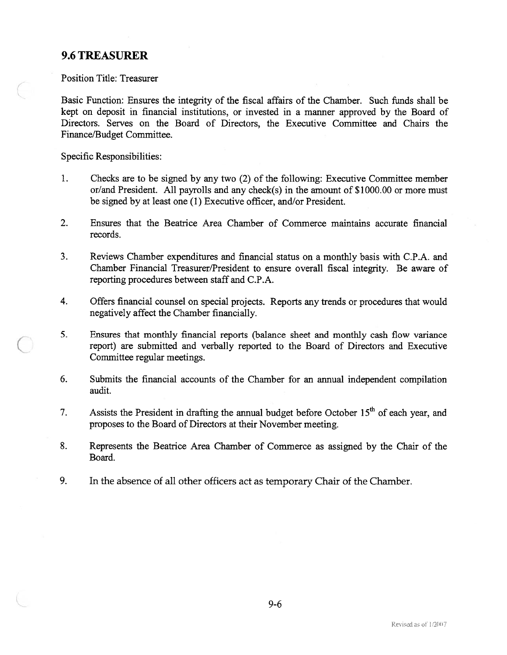# 9.6 TREASURER

Position Title: Treasurer

Basic Function: Ensures the integrity of the fiscal affairs of the Chamber. Such funds shall be kept on deposit in financial institutions, or invested in <sup>a</sup> manner approved by the Board of Directors. Serves on the Board of Directors, the Executive Committee and Chairs the Finance/Budget Committee.

Specific Responsibilities:

- 1. Checks are to be signed by any two (2) of the following: Executive Committee member or/and President. All payrolls and any check(s) in the amount of \$1000.00 or more must be signed by at least one (1) Executive officer, and/or President.
- 2. Ensures that the Beatrice Area Chamber of Commerce maintains accurate financial records.
- 3. Reviews Chamber expenditures and financial status on <sup>a</sup> monthly basis with C.P.A. and Chamber Financial Treasurer/President to ensure overall fiscal integrity. Be aware of reporting procedures between staff and C.P.A.
- 4. Offers financial counsel on special projects. Reports any trends or procedures that would negatively affect the Chamber financially.
- 5. Ensures that monthly financial reports (balance sheet and monthly cash flow variance report) are submitted and verbally reported to the Board of Directors and Executive Committee regular meetings.
- 6. Submits the financial accounts of the Chamber for an annual independent compilation audit.
- 7. Assists the President in drafting the annual budget before October  $15<sup>th</sup>$  of each year, and proposes to the Board of Directors at their November meeting.
- 8. Represents the Beatrice Area Chamber of Commerce as assigned by the Chair of the Board.
- 9. In the absence of all other officers act as temporary Chair of the Chamber.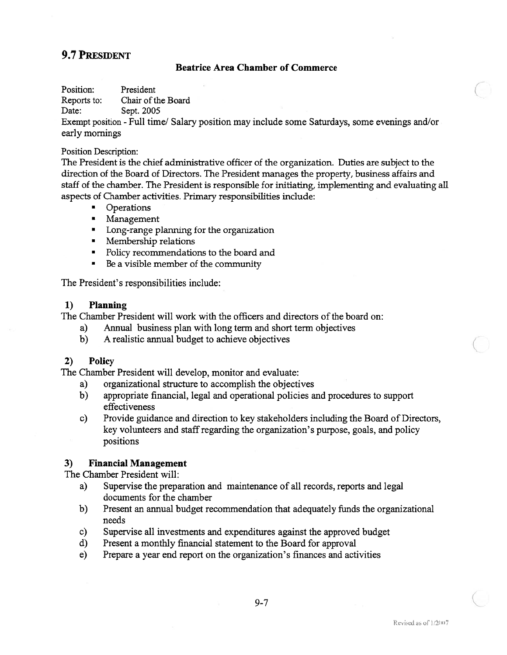## 9.7 PRESIDENT

## Beatrice Area Chamber of Commerce

Position: President

Reports to: Chair of the Board

Date: Sept. 2005

Exempt position - Full time/ Salary position may include some Saturdays, some evenings and/or early mornings

#### Position Description:

The President is the chief administrative officer of the organization. Duties are subject to the direction of the Board of Directors. The President manages the property, business affairs and staff of the chamber. The President is responsible for initiating, implementing and evaluating all aspects of Chamber activities. Primary responsibilities include:

- •Operations
- Management
- Long-range planning for the organization
- Membership relations
- Policy recommendations to the board and
- Be <sup>a</sup> visible member of the community

The President's responsibilities include:

### 1) Planning

The Chamber President will work with the officers and directors of the board on:

- a) Annual business plan with long term and short term objectives
- b) A realistic annual budget to achieve objectives

## 2) Policy

The Chamber President will develop, monitor and evaluate:

- a) organizational structure to accomplish the objectives
- b) appropriate financial, legal and operational policies and procedures to suppor<sup>t</sup> effectiveness
- c) Provide guidance and direction to key stakeholders including the Board of Directors, key volunteers and staffregarding the organization's purpose, goals, and policy positions

## 3) Financial Management

The Chamber President will:

- a) Supervise the preparation and maintenance of all records, reports and legal documents for the chamber
- b) Present an annual budget recommendation that adequately funds the organizational needs
- c) Supervise all investments and expenditures against the approved budget
- d) Present <sup>a</sup> monthly financial statement to the Board for approval
- e) Prepare <sup>a</sup> year end repor<sup>t</sup> on the organization's finances and activities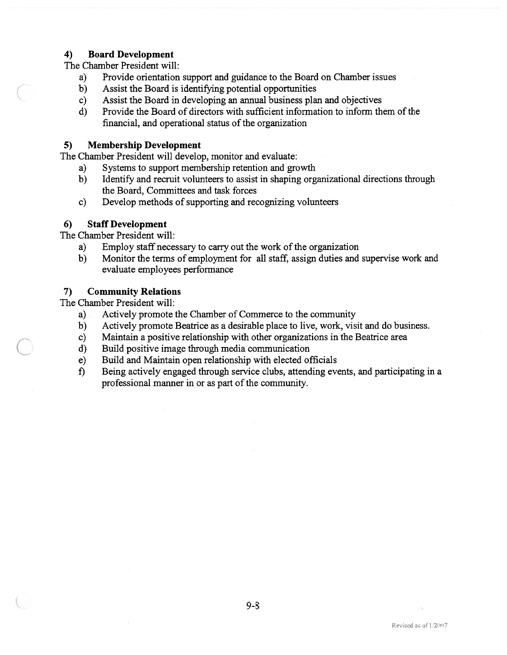## 4) Board Development

The Chamber President will:

- a) Provide orientation suppor<sup>t</sup> and guidance to the Board on Chamber issues
- b) Assist the Board is identifying potential opportunities
- c) Assist the Board in developing an annual business plan and objectives
- d) Provide the Board of directors with sufficient information to inform them of the financial, and operational status of the organization

## 5) Membership Development

The Chamber President will develop, monitor and evaluate:

- a) Systems to suppor<sup>t</sup> membership retention and growth
- b) Identify and recruit volunteers to assist in shaping organizational directions through the Board, Committees and task forces
- c) Develop methods of supporting and recognizing volunteers

## 6) Staff Development

The Chamber President will:

- a) Employ staff necessary to carry out the work of the organization
- b) Monitor the terms of employment for all staff, assign duties and supervise work and evaluate employees performance

## 7) Community Relations

The Chamber President will:

- a) Actively promote the Chamber of Commerce to the community
- b) Actively promote Beatrice as <sup>a</sup> desirable place to live, work, visit and do business.
- c) Maintain <sup>a</sup> positive relationship with other organizations in the Beatrice area
- d) Build positive image through media communication
- e) Build and Maintain open relationship with elected officials
- f) Being actively engaged through service clubs, attending events, and participating in <sup>a</sup> professional manner in or as part of the community.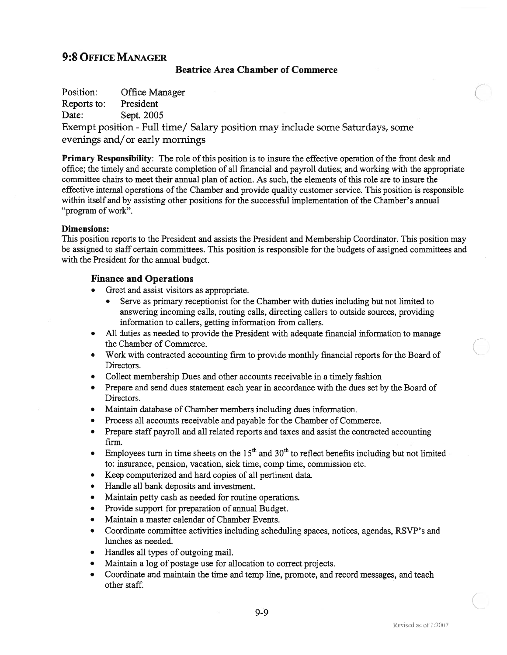# 9:8 OFFIcE MANAGER

#### Beatrice Area Chamber of Commerce

Position: Office Manager

Reports to: President

Date: Sept. 2005

Exempt position -Full time/ Salary position may include some Saturdays, some evenings and/or early mornings

Primary Responsibility: The role of this position is to insure the effective operation of the front desk and office; the timely and accurate completion of all financial and payroll duties; and working with the appropriate committee chairs to meet their annual plan of action. As such, the elements of this role are to insure the effective internal operations ofthe Chamber and provide quality customer service. This position is responsible within itself and by assisting other positions for the successful implementation of the Chamber's annual "program of work".

#### Dimensions:

This position reports to the President and assists the President and Membership Coordinator. This position may be assigned to staff certain committees. This position is responsible for the budgets of assigned committees and with the President for the annual budget.

## Finance and Operations

- • Greet and assist visitors as appropriate.
	- • Serve as primary receptionist for the Chamber with duties including but not limited to answering incoming calls, routing calls, directing callers to outside sources, providing information to callers, getting information from callers.
- • All duties as needed to provide the President with adequate fmancial information to manage the Chamber of Commerce.
- Work with contracted accounting firm to provide monthly financial reports for the Board of Directors.
- Collect membership Dues and other accounts receivable in <sup>a</sup> timely fashion
- Prepare and send dues statement each year in accordance with the dues set by the Board of Directors.
- Maintain database of Chamber members including dues information.
- Process all accounts receivable and payable for the Chamber of Commerce.
- Prepare staff payroll and all related reports and taxes and assist the contracted accounting firm.
- Employees turn in time sheets on the  $15<sup>th</sup>$  and  $30<sup>th</sup>$  to reflect benefits including but not limited to: insurance, pension, vacation, sick time, comp time, commission etc.
- Keep computerized and hard copies of all pertinent data.
- Handle all bank deposits and investment.
- Maintain petty cash as needed for routine operations.
- Provide suppor<sup>t</sup> for preparation of annual Budget.
- •Maintain <sup>a</sup> master calendar of Chamber Events.
- • Coordinate committee activities including scheduling spaces, notices, agendas, RSVP's and lunches as needed.
- •Handles all types of outgoing mail.
- •Maintain <sup>a</sup> log of postage use for allocation to correct projects.
- • Coordinate and maintain the time and temp line, promote, and record messages, and teach other staff.

 $\begin{pmatrix} 1 & 1 \\ 1 & 1 \end{pmatrix}$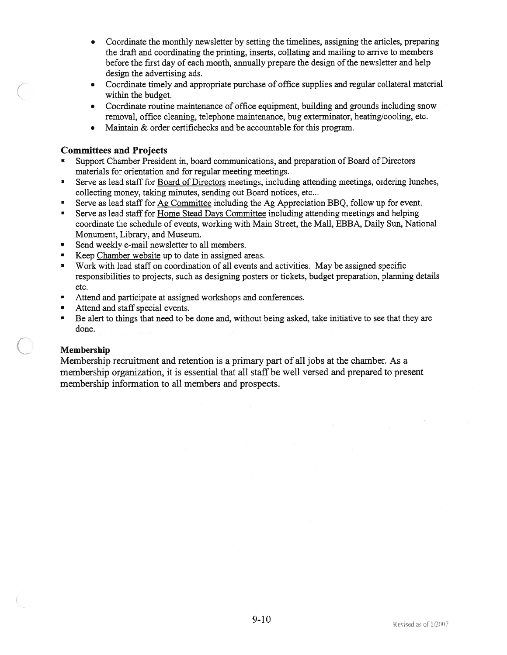- • Coordinate the monthly newsletter by setting the timelines, assigning the articles, preparing the draft and coordinating the printing, inserts, collating and mailing to arrive to members before the first day of each month, annually prepare the design of the newsletter and help design the advertising ads.
- • Coordinate timely and appropriate purchase of office supplies and regular collateral material within the budget.
- Coordinate routine maintenance of office equipment, building and grounds including snow removal, office cleaning, telephone maintenance, bug exterminator, heating/cooling, etc.
- $\bullet$ Maintain & order certifichecks and be accountable for this program.

### Committees and Projects

- • Support Chamber President in, board communications, and preparation of Board of Directors materials for orientation and for regular meeting meetings.
- • Serve as lead staff for Board of Directors meetings, including attending meetings, ordering lunches, collecting money, taking minutes, sending out Board notices, etc...
- •Serve as lead staff for Ag Committee including the Ag Appreciation BBQ, follow up for event.
- • Serve as lead staff for Home Stead Days Committee including attending meetings and helping coordinate the schedule of events, working with Main Street, the Mall, EBBA, Daily Sun, National Monument, Library, and Museum.
- •Send weekly e-mail newsletter to all members.
- •Keep Chamber website up to date in assigned areas.
- Work with lead staff on coordination of all events and activities. May be assigned specific responsibilities to projects, such as designing posters or tickets, budget preparation, planning details etc.
- •Attend and participate at assigned workshops and conferences.
- Attend and staff special events.
- Be alert to things that need to be done and, without being asked, take initiative to see that they are done.

#### Membership

Membership recruitment and retention is <sup>a</sup> primary par<sup>t</sup> of all jobs at the chamber. As <sup>a</sup> membership organization, it is essential that all staff be well versed and prepared to presen<sup>t</sup> membership information to all members and prospects.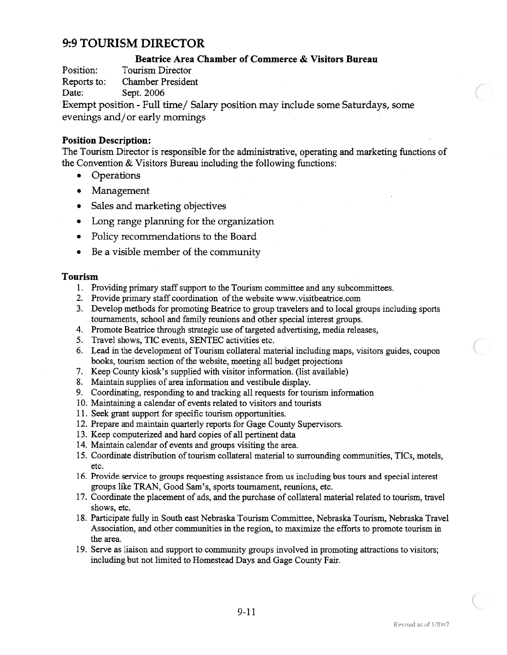# 9:9 TOURISM DIRECTOR

## Beatrice Area Chamber of Commerce & Visitors Bureau

Position: Tourism Director

Reports to: Chamber President

Date: Sept. 2006

Exempt position -Full time/ Salary position may include some Saturdays, some evenings and/or early mornings

## Position Description:

The Tourism Director is responsible for the administrative, operating and marketing functions of the Convention & Visitors Bureau including the following functions:

- Operations
- Management
- Sales and marketing objectives
- •Long range planning for the organization
- •Policy recommendations to the Board
- •Be <sup>a</sup> visible member of the community

#### Tourism

- 1. Providing primary staff suppor<sup>t</sup> to the Tourism committee and any subcommittees.
- 2. Provide primary staff coordination of the website www.visitbeatrice.com
- 3. Develop methods for promoting Beatrice to group travelers and to local groups including sports tournaments, school and family reunions and other special interest groups.
- 4. Promote Beatrice through strategic use of targeted advertising, media releases,
- 5. Travel shows, TIC events, SENTEC activities etc.
- 6. Lead in the development of Tourism collateral material including maps, visitors guides, coupon books, tourism section of the website, meeting all budget projections
- 7. Keep County kiosk's supplied with visitor information. (list available)
- 8. Maintain supplies of area information and vestibule display.
- 9. Coordinating, responding to and tracking all requests for tourism information
- 10. Maintaining <sup>a</sup> calendar of events related to visitors and tourists
- 11. Seek gran<sup>t</sup> suppor<sup>t</sup> for specific tourism opportunities.
- 12. Prepare and maintain quarterly reports for Gage County Supervisors.
- 13. Keep computerized and hard copies of all pertinent data
- 14. Maintain calendar of events and groups visiting the area.
- 15. Coordinate distribution of tourism collateral material to surrounding communities, TICs, motels, etc.
- 16. Provide service to groups requesting assistance from us including bus tours and special interest groups like TRAN, Good Sam's, sports tournament, reunions, etc.
- 17. Coordinate the placement of ads, and the purchase of collateral material related to tourism, travel shows, etc.
- 18. Participate fully in South east Nebraska Tourism Committee, Nebraska Tourism, Nebraska Travel Association, and other communities in the region, to maximize the efforts to promote tourism in the area.
- 19. Serve as liaison and suppor<sup>t</sup> to community groups involved in promoting attractions to visitors; including but not limited to Homestead Days and Gage County Fair.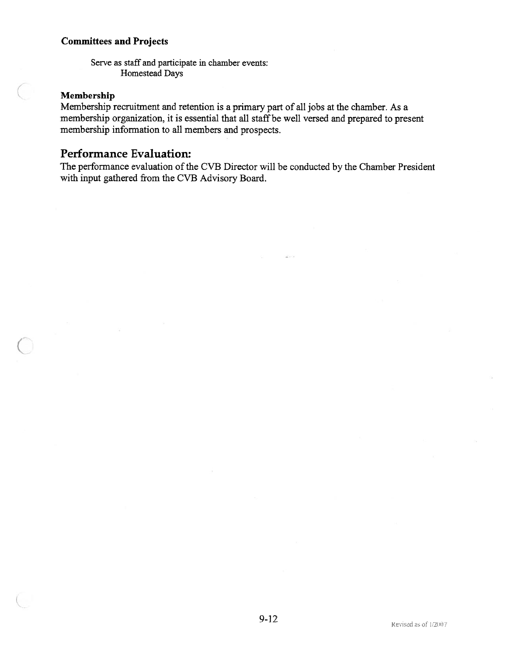## Committees and Projects

Serve as staff and participate in chamber events: Homestead Days

## Membership

Membership recruitment and retention is <sup>a</sup> primary par<sup>t</sup> of all jobs at the chamber. As <sup>a</sup> membership organization, it is essential that all staff be well versed and prepared to present membership information to all members and prospects.

# Performance Evaluation:

The performance evaluation of the CVB Director will be conducted by the Chamber President with input gathered from the CVB Advisory Board.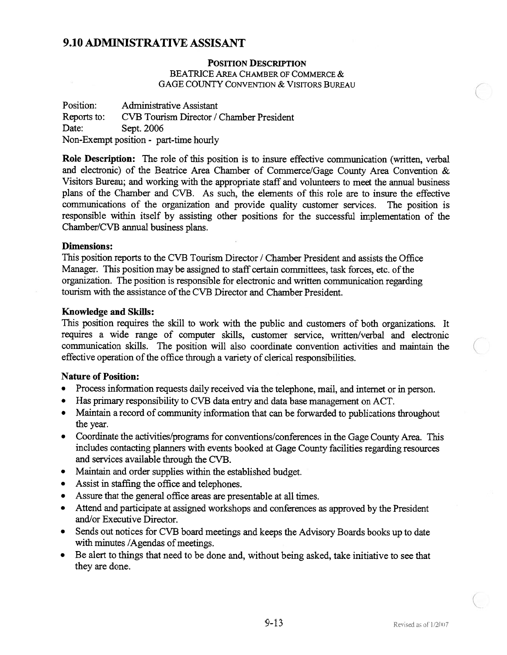# 9.10 ADMINISTRATIVE ASSISANT

### POSITION DESCRIPTION

BEATRICE AREA CHAMBER OF COMMERCE & GAGE COUNTY CONVENTION & VISITORS BUREAU

Position: Administrative Assistant Reports to: CVB Tourism Director / Chamber President Date: Sept. 2006 Non-Exempt position - part-time hourly

Role Description: The role of this position is to insure effective communication (written, verbal and electronic) of the Beatrice Area Chamber of Commerce/Gage County Area Convention & Visitors Bureau; and working with the appropriate staff and volunteers to meet the annual business plans of the Chamber and CVB. As such, the elements of this role are to insure the effective communications of the organization and provide quality customer services. The position is responsible within itself by assisting other positions for the successful implementation of the Chamber/CVB annual business plans.

#### Dimensions:

This position reports to the CVB Tourism Director / Chamber President and assists the Office Manager. This position may be assigned to staff certain committees, task forces, etc. of the organization. The position is responsible for electronic and written communication regarding tourism with the assistance of the CVB Director and Chamber President.

### Knowledge and Skills:

This position requires the skill to work with the public and customers of both organizations. It requires <sup>a</sup> wide range of computer skills, customer service, written/verbal and electronic communication skills. The position will also coordinate convention activities and maintain the effective operation of the office through <sup>a</sup> variety of clerical responsibilities.

#### Nature of Position:

- •Process information requests daily received via the telephone, mail, and internet or in person.
- •Has primary responsibility to CVB data entry and data base managemen<sup>t</sup> on ACT.
- Maintain <sup>a</sup> record of community information that can be forwarded to publications throughout the year.
- Coordinate the activities/programs for conventions/conferences in the Gage County Area. This includes contacting <sup>p</sup>lanners with events booked at Gage County facilities regarding resources and services available through the CVB.
- $\bullet$ Maintain and order supplies within the established budget.
- •Assist in staffing the office and telephones.
- •Assure that the general office areas are presentable at all times.
- Attend and participate at assigned workshops and conferences as approved by the President and/or Executive Director.
- • Sends out notices for CVB board meetings and keeps the Advisory Boards books up to date with minutes /Agendas of meetings.
- • Be alert to things that need to be done and, without being asked, take initiative to see that they are done.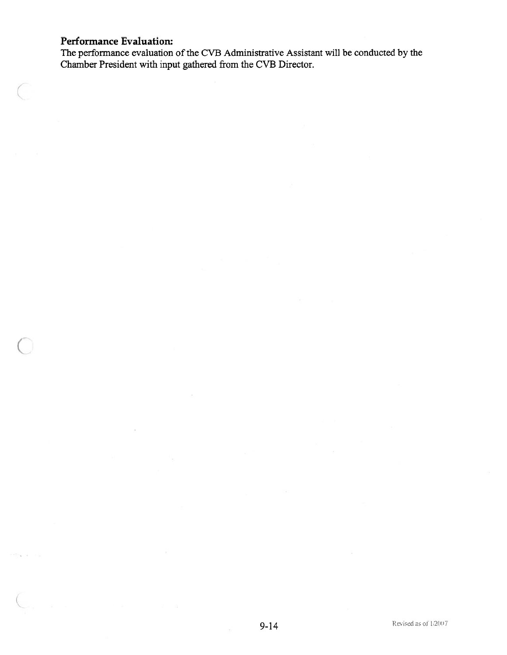# Performance Evaluation:

The performance evaluation of the CVB Administrative Assistant will be conducted by the Chamber President with input gathered from the CVB Director.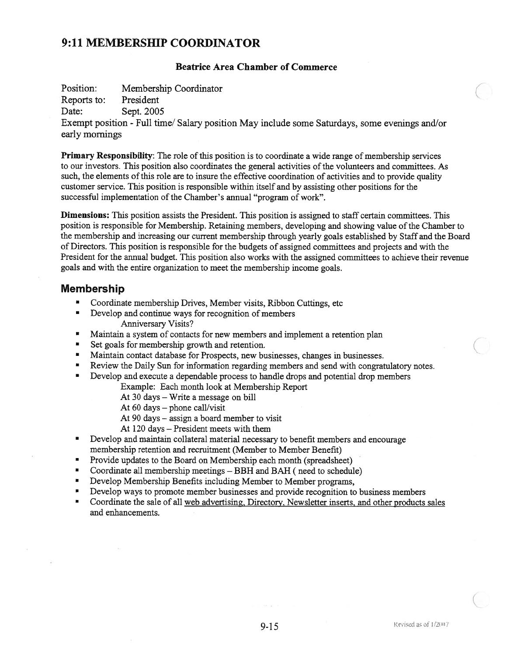# 9:11 MEMBERSHIP COORDINATOR

#### Beatrice Area Chamber of Commerce

Position: Membership Coordinator

Reports to: President

Date: Sept. 2005

Exempt position - Full time/ Salary position May include some Saturdays, some evenings and/or early mornings

Primary Responsibility: The role of this position is to coordinate <sup>a</sup> wide range of membership services to our investors. This position also coordinates the general activities of the volunteers and committees. As such, the elements of this role are to insure the effective coordination of activities and to provide quality customer service. This position is responsible within itself and by assisting other positions for the successful implementation of the Chamber's annual "program of work".

Dimensions: This position assists the President. This position is assigned to staff certain committees. This position is responsible for Membership. Retaining members, developing and showing value of the Chamber to the membership and increasing our current membership through yearly goals established by Staff and the Board of Directors. This position is responsible for the budgets of assigned committees and projects and with the President for the annual budget. This position also works with the assigned committees to achieve their revenue goals and with the entire organization to meet the membership income goals.

## Membership

- •Coordinate membership Drives, Member visits, Ribbon Cuttings, etc
- •Develop and continue ways for recognition of members Anniversary Visits?
- •Maintain <sup>a</sup> system of contacts for new members and implement <sup>a</sup> retention <sup>p</sup>lan
- •Set goals for membership growth and retention.
- •Maintain contact database for Prospects, new businesses, changes in businesses.
- •Review the Daily Sun for information regarding members and send with congratulatory notes.
- • Develop and execute <sup>a</sup> dependable process to handle drops and potential drop members
	- Example: Each month look at Membership Report
	- At 30 days Write <sup>a</sup> message on bill
	- At 60 days phone call/visit
	- At 90 days assign <sup>a</sup> board member to visit
	- At 120 days President meets with them
- • Develop and maintain collateral material necessary to benefit members and encourage membership retention and recruitment (Member to Member Benefit)
- •Provide updates to the Board on Membership each month (spreadsheet)
- •Coordinate all membership meetings - BBH and BAH (need to schedule)
- •Develop Membership Benefits including Member to Member programs,
- •Develop ways to promote member businesses and provide recognition to business members
- • Coordinate the sale of all web advertising. Directory. Newsletter inserts, and other products sales and enhancements.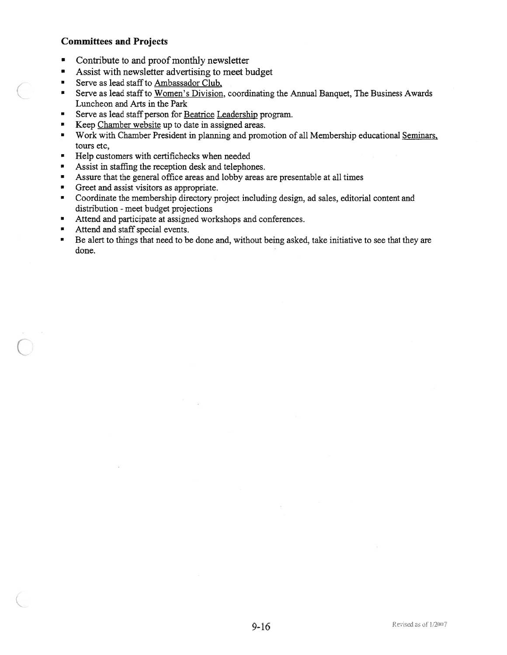## Committees and Projects

- •Contribute to and proof monthly newsletter
- •Assist with newsletter advertising to meet budget
- •Serve as lead staff to Ambassador Club.
- • Serve as lead staffto Women's Division, coordinating the Annual Banquet, The Business Awards Luncheon and Arts in the Park
- •Serve as lead staff person for Beatrice Leadership program.
- •Keep Chamber website up to date in assigned areas.
- • Work with Chamber President in planning and promotion of all Membership educational Seminars. tours etc,
- •Help customers with certifichecks when needed
- •Assist in staffing the reception desk and telephones.
- •Assure that the general office areas and lobby areas are presentable at all times
- •Greet and assist visitors as appropriate.
- • Coordinate the membership directory project including design, ad sales, editorial content and distribution - meet budget projections
- •Attend and participate at assigned workshops and conferences.
- •Attend and staff special events.
- • Be alert to things that need to be done and, without being asked, take initiative to see that they are done.